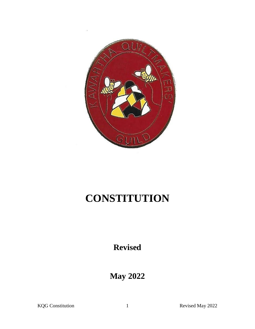

# **CONSTITUTION**

**Revised**

**May 2022**

KQG Constitution 1 Revised May 2022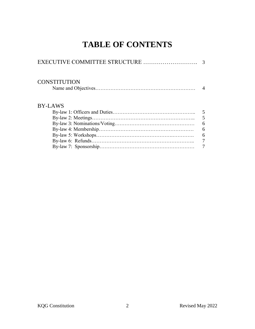# **TABLE OF CONTENTS**

| <b>CONSTITUTION</b> |                 |
|---------------------|-----------------|
| <b>BY-LAWS</b>      |                 |
|                     | $5\overline{)}$ |
|                     | 5               |
|                     | 6               |
|                     | 6               |
|                     | 6               |
|                     | $\overline{7}$  |
|                     |                 |
|                     |                 |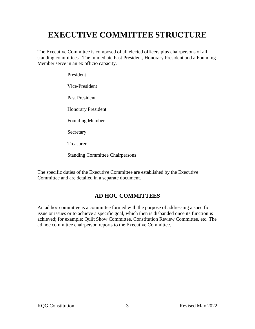# **EXECUTIVE COMMITTEE STRUCTURE**

The Executive Committee is composed of all elected officers plus chairpersons of all standing committees. The immediate Past President, Honorary President and a Founding Member serve in an ex officio capacity.

> President Vice-President Past President Honorary President Founding Member Secretary Treasurer

Standing Committee Chairpersons

The specific duties of the Executive Committee are established by the Executive Committee and are detailed in a separate document.

# **AD HOC COMMITTEES**

An ad hoc committee is a committee formed with the purpose of addressing a specific issue or issues or to achieve a specific goal, which then is disbanded once its function is achieved; for example: Quilt Show Committee, Constitution Review Committee, etc. The ad hoc committee chairperson reports to the Executive Committee.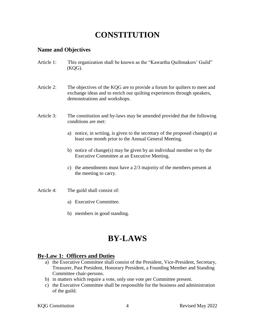# **CONSTITUTION**

#### **Name and Objectives**

Article 1: This organization shall be known as the "Kawartha Quiltmakers' Guild" (KQG).

Article 2: The objectives of the KQG are to provide a forum for quilters to meet and exchange ideas and to enrich our quilting experiences through speakers, demonstrations and workshops.

- Article 3: The constitution and by-laws may be amended provided that the following conditions are met:
	- a) notice, in writing, is given to the secretary of the proposed change(s) at least one month prior to the Annual General Meeting.
	- b) notice of change(s) may be given by an individual member or by the Executive Committee at an Executive Meeting.
	- c) the amendments must have a 2/3 majority of the members present at the meeting to carry.

Article 4: The guild shall consist of:

- a) Executive Committee.
- b) members in good standing.

# **BY-LAWS**

#### **By-Law 1: Officers and Duties**

- a) the Executive Committee shall consist of the President, Vice-President, Secretary, Treasurer, Past President, Honorary President, a Founding Member and Standing Committee chair-persons.
- b) in matters which require a vote, only one vote per Committee present.
- c) the Executive Committee shall be responsible for the business and administration of the guild.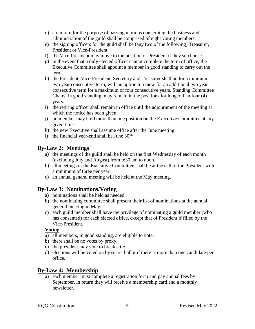- d) a quorum for the purpose of passing motions concerning the business and administration of the guild shall be comprised of eight voting members.
- e) the signing officers for the guild shall be (any two of the following) Treasurer, President or Vice-President.
- f) the Vice-President may move to the position of President if they so choose.
- g) in the event that a duly elected officer cannot complete the term of office, the Executive Committee shall appoint a member in good standing to carry out the term.
- h) the President, Vice-President, Secretary and Treasurer shall be for a minimum two year consecutive term, with an option to renew for an additional two year consecutive term for a maximum of four consecutive years. Standing Committee Chairs, in good standing, may remain in the positions for longer than four (4) years.
- i) the retiring officer shall remain in office until the adjournment of the meeting at which the notice has been given.
- j) no member may hold more than one position on the Executive Committee at any given time.
- k) the new Executive shall assume office after the June meeting.
- l) the financial year-end shall be June  $30<sup>th</sup>$ .

# **By-Law 2: Meetings**

- a) the meetings of the guild shall be held on the first Wednesday of each month (excluding July and August) from 9:30 am to noon.
- b) all meetings of the Executive Committee shall be at the call of the President with a minimum of three per year.
- c) an annual general meeting will be held at the May meeting.

# **By-Law 3: Nominations/Voting**

- a) nominations shall be held as needed.
- b) the nominating committee shall present their list of nominations at the annual general meeting in May.
- c) each guild member shall have the privilege of nominating a guild member (who has consented) for each elected office, except that of President if filled by the Vice-President.

#### **Voting**

- a) all members, in good standing, are eligible to vote.
- b) there shall be no votes by proxy.
- c) the president may vote to break a tie.
- d) elections will be voted on by secret ballot if there is more than one candidate per office.

### **By-Law 4: Membership**

a) each member must complete a registration form and pay annual fees by September, in return they will receive a membership card and a monthly newsletter.